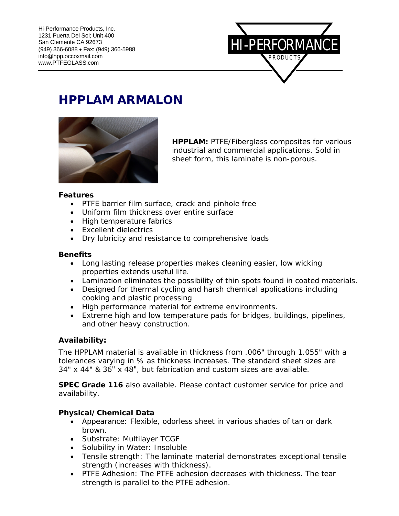

# **HPPLAM ARMALON**



**HPPLAM:** PTFE/Fiberglass composites for various industrial and commercial applications. Sold in sheet form, this laminate is non-porous.

#### **Features**

- PTFE barrier film surface, crack and pinhole free
- Uniform film thickness over entire surface
- High temperature fabrics
- Excellent dielectrics
- Dry lubricity and resistance to comprehensive loads

### **Benefits**

- Long lasting release properties makes cleaning easier, low wicking properties extends useful life.
- Lamination eliminates the possibility of thin spots found in coated materials.
- Designed for thermal cycling and harsh chemical applications including cooking and plastic processing
- High performance material for extreme environments.
- Extreme high and low temperature pads for bridges, buildings, pipelines, and other heavy construction.

### **Availability:**

The HPPLAM material is available in thickness from .006" through 1.055" with a tolerances varying in % as thickness increases. The standard sheet sizes are 34" x 44" & 36" x 48", but fabrication and custom sizes are available.

**SPEC Grade 116** also available. Please contact customer service for price and availability.

### **Physical/Chemical Data**

- Appearance: Flexible, odorless sheet in various shades of tan or dark brown.
- Substrate: Multilayer TCGF
- Solubility in Water: Insoluble
- Tensile strength: The laminate material demonstrates exceptional tensile strength (increases with thickness).
- PTFE Adhesion: The PTFE adhesion decreases with thickness. The tear strength is parallel to the PTFE adhesion.